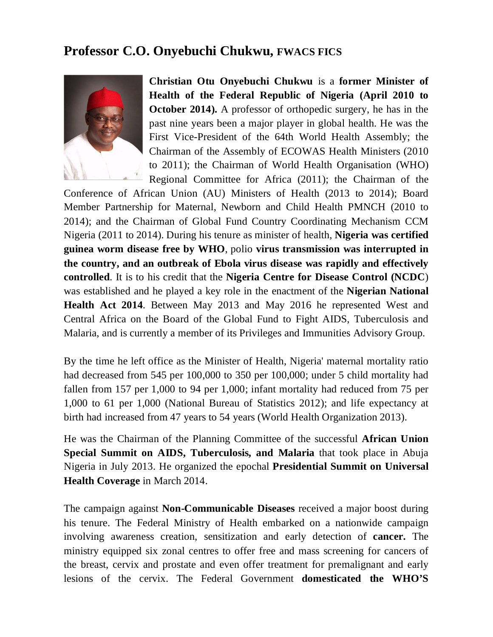## **Professor C.O. Onyebuchi Chukwu, FWACS FICS**



**Christian Otu Onyebuchi Chukwu** is a **former Minister of Health of the Federal Republic of Nigeria (April 2010 to October 2014).** A professor of orthopedic surgery, he has in the past nine years been a major player in global health. He was the First Vice-President of the 64th World Health Assembly; the Chairman of the Assembly of ECOWAS Health Ministers (2010 to 2011); the Chairman of World Health Organisation (WHO) Regional Committee for Africa (2011); the Chairman of the

Conference of African Union (AU) Ministers of Health (2013 to 2014); Board Member Partnership for Maternal, Newborn and Child Health PMNCH (2010 to 2014); and the Chairman of Global Fund Country Coordinating Mechanism CCM Nigeria (2011 to 2014). During his tenure as minister of health, **Nigeria was certified guinea worm disease free by WHO**, polio **virus transmission was interrupted in the country, and an outbreak of Ebola virus disease was rapidly and effectively controlled**. It is to his credit that the **Nigeria Centre for Disease Control (NCDC**) was established and he played a key role in the enactment of the **Nigerian National Health Act 2014**. Between May 2013 and May 2016 he represented West and Central Africa on the Board of the Global Fund to Fight AIDS, Tuberculosis and Malaria, and is currently a member of its Privileges and Immunities Advisory Group.

By the time he left office as the Minister of Health, Nigeria' maternal mortality ratio had decreased from 545 per 100,000 to 350 per 100,000; under 5 child mortality had fallen from 157 per 1,000 to 94 per 1,000; infant mortality had reduced from 75 per 1,000 to 61 per 1,000 (National Bureau of Statistics 2012); and life expectancy at birth had increased from 47 years to 54 years (World Health Organization 2013).

He was the Chairman of the Planning Committee of the successful **African Union Special Summit on AIDS, Tuberculosis, and Malaria** that took place in Abuja Nigeria in July 2013. He organized the epochal **Presidential Summit on Universal Health Coverage** in March 2014.

The campaign against **Non-Communicable Diseases** received a major boost during his tenure. The Federal Ministry of Health embarked on a nationwide campaign involving awareness creation, sensitization and early detection of **cancer.** The ministry equipped six zonal centres to offer free and mass screening for cancers of the breast, cervix and prostate and even offer treatment for premalignant and early lesions of the cervix. The Federal Government **domesticated the WHO'S**